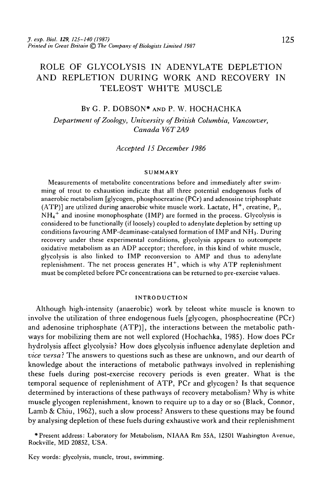# ROLE OF GLYCOLYSIS IN ADENYLATE DEPLETION AND REPLETION DURING WORK AND RECOVERY IN TELEOST WHITE MUSCLE

## BY G. P. DOBSON\* AND P. W. HOCHACHKA

*Department of Zoology, University of British Columbia, Vancouver, Canada V6T2A9*

*Accepted 15 December 1986*

#### **SUMMARY**

Measurements of metabolite concentrations before and immediately after swimming of trout to exhaustion indicate that all three potential endogenous fuels of anaerobic metabolism [glycogen, phosphocreatine (PCr) and adenosine triphosphate (ATP)] are utilized during anaerobic white muscle work. Lactate,  $H^+$ , creatine,  $P_i$ , NH<sub>4</sub><sup>+</sup> and inosine monophosphate (IMP) are formed in the process. Glycolysis is considered to be functionally (if loosely) coupled to adenylate depletion by setting up conditions favouring AMP-deaminase-catalysed formation of IMP and NH<sub>3</sub>. During recovery under these experimental conditions, glycolysis appears to outcompete oxidative metabolism as an ADP acceptor; therefore, in this kind of white muscle, glycolysis is also linked to IMP reconversion to AMP and thus to adenylate replenishment. The net process generates  $H^+$ , which is why ATP replenishment must be completed before PCr concentrations can be returned to pre-exercise values.

#### **INTRODUCTION**

Although high-intensity (anaerobic) work by teleost white muscle is known to involve the utilization of three endogenous fuels [glycogen, phosphocreatine (PCr) and adenosine triphosphate (ATP)], the interactions between the metabolic pathways for mobilizing them are not well explored (Hochachka, 1985). How does PCr hydrolysis affect glycolysis? How does glycolysis influence adenylate depletion and *vice versa}* The answers to questions such as these are unknown, and our dearth of knowledge about the interactions of metabolic pathways involved in replenishing these fuels during post-exercise recovery periods is even greater. What is the temporal sequence of replenishment of ATP, PCr and glycogen? Is that sequence determined by interactions of these pathways of recovery metabolism? Why is white muscle glycogen replenishment, known to require up to a day or so (Black, Connor, Lamb & Chiu, 1962), such a slow process? Answers to these questions may be found by analysing depletion of these fuels during exhaustive work and their replenishment

\* Present address: Laboratory for Metabolism, NIAAA Rm 55A, 12501 Washington Avenue, Rockville, MD 20852, USA.

Key words: glycolysis, muscle, trout, swimming.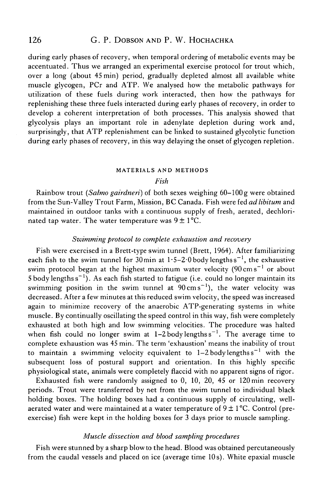during early phases of recovery, when temporal ordering of metabolic events may be accentuated. Thus we arranged an experimental exercise protocol for trout which, over a long (about 45 min) period, gradually depleted almost all available white muscle glycogen, PCr and ATP. We analysed how the metabolic pathways for utilization of these fuels during work interacted, then how the pathways for replenishing these three fuels interacted during early phases of recovery, in order to develop a coherent interpretation of both processes. This analysis showed that glycolysis plays an important role in adenylate depletion during work and, surprisingly, that ATP replenishment can be linked to sustained glycolytic function during early phases of recovery, in this way delaying the onset of glycogen repletion.

#### MATERIALS AND METHODS

#### *Fish*

Rainbow trout (Salmo gairdneri) of both sexes weighing 60-100 g were obtained from the Sun-Valley Trout Farm, Mission, BC Canada. Fish were fed *ad libitum* and maintained in outdoor tanks with a continuous supply of fresh, aerated, dechlorinated tap water. The water temperature was  $9 \pm 1^{\circ}$ C.

### *Swimming protocol to complete exhaustion and recovery*

Fish were exercised in a Brett-type swim tunnel (Brett, 1964). After familiarizing each fish to the swim tunnel for  $30 \text{min}$  at  $1 \cdot 5 - 2 \cdot 0$  body lengths  $\text{s}^{-1}$ , the exhaustive swim protocol began at the highest maximum water velocity ( $90 \, \mathrm{cm \, s}^{-1}$  or about 5 body lengths  $s^{-1}$ ). As each fish started to fatigue (i.e. could no longer maintain its swimming position in the swim tunnel at  $90 \text{ cm s}^{-1}$ ), the water velocity was decreased. After a few minutes at this reduced swim velocity, the speed was increased again to minimize recovery of the anaerobic ATP-generating systems in white muscle. By continually oscillating the speed control in this way, fish were completely exhausted at both high and low swimming velocities. The procedure was halted when fish could no longer swim at  $1-2$  body lengths  $s^{-1}$ . The average time to complete exhaustion was 45 min. The term 'exhaustion' means the inability of trout to maintain a swimming velocity equivalent to  $1-2$  body lengthss<sup>-1</sup> with the subsequent loss of postural support and orientation. In this highly specific physiological state, animals were completely flaccid with no apparent signs of rigor.

Exhausted fish were randomly assigned to 0, 10, 20, 45 or 120 min recovery periods. Trout were transferred by net from the swim tunnel to individual black holding boxes. The holding boxes had a continuous supply of circulating, wellaerated water and were maintained at a water temperature of  $9 \pm 1$  °C. Control (preexercise) fish were kept in the holding boxes for 3 days prior to muscle sampling.

## *Muscle dissection and blood sampling procedures*

Fish were stunned by a sharp blow to the head. Blood was obtained percutaneously from the caudal vessels and placed on ice (average time 10 s). White epaxial muscle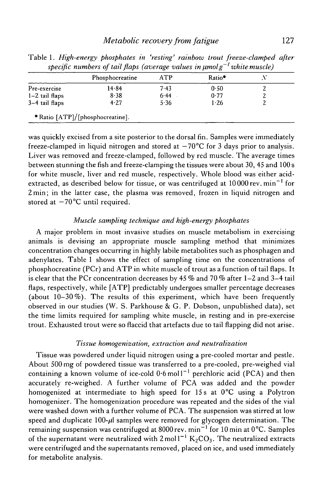|                  | Phosphocreatine | ATP  | Ratio*   |  |
|------------------|-----------------|------|----------|--|
| Pre-exercise     | 14.84           | 7.43 | 0.50     |  |
| $1-2$ tail flaps | 8.38            | 6.44 | 0.77     |  |
| $3-4$ tail flaps | 4.27            | 5.36 | $1 - 26$ |  |

Table 1. *High-energy phosphates in 'resting' rainbow trout freeze-damped after specific numbers of tail flaps (average values in \itnolg~1 white muscle)*

was quickly excised from a site posterior to the dorsal fin. Samples were immediately freeze-clamped in liquid nitrogen and stored at  $-70^{\circ}$ C for 3 days prior to analysis. Liver was removed and freeze-clamped, followed by red muscle. The average times between stunning the fish and freeze-clamping the tissues were about 30, 45 and 100 s for white muscle, liver and red muscle, respectively. Whole blood was either acidextracted, as described below for tissue, or was centrifuged at  $10\,000$  rev.  $\mathrm{min}^{-1}$  for 2min; in the latter case, the plasma was removed, frozen in liquid nitrogen and stored at  $-70^{\circ}$ C until required.

## *Muscle sampling technique and high-energy phosphates*

A major problem in most invasive studies on muscle metabolism in exercising animals is devising an appropriate muscle sampling method that minimizes concentration changes occurring in highly labile metabolites such as phosphagen and adenylates. Table 1 shows the effect of sampling time on the concentrations of phosphocreatine (PCr) and ATP in white muscle of trout as a function of tail flaps. It is clear that the PCr concentration decreases by 45 % and 70 % after 1—2 and 3—4 tail flaps, respectively, while [ATP] predictably undergoes smaller percentage decreases (about  $10-30\%$ ). The results of this experiment, which have been frequently observed in our studies (W. S. Parkhouse & G. P. Dobson, unpublished data), set the time limits required for sampling white muscle, in resting and in pre-exercise trout. Exhausted trout were so flaccid that artefacts due to tail flapping did not arise.

## *Tissue homogenization, extraction and neutralization*

Tissue was powdered under liquid nitrogen using a pre-cooled mortar and pestle. About 500 mg of powdered tissue was transferred to a pre-cooled, pre-weighed vial containing a known volume of ice-cold  $0.6$  moll<sup>-1</sup> perchloric acid (PCA) and then accurately re-weighed. A further volume of PCA was added and the powder homogenized at intermediate to high speed for 15s at 0°C using a Polytron homogenizer. The homogenization procedure was repeated and the sides of the vial were washed down with a further volume of PCA. The suspension was stirred at low speed and duplicate  $100-\mu$  samples were removed for glycogen determination. The remaining suspension was centrifuged at 8000 rev. min<sup>-1</sup> for 10 min at 0<sup>o</sup>C. Samples of the supernatant were neutralized with  $2 \text{ mol}^{-1} \text{ K}_2\text{CO}_3$ . The neutralized extracts were centrifuged and the supernatants removed, placed on ice, and used immediately for metabolite analysis.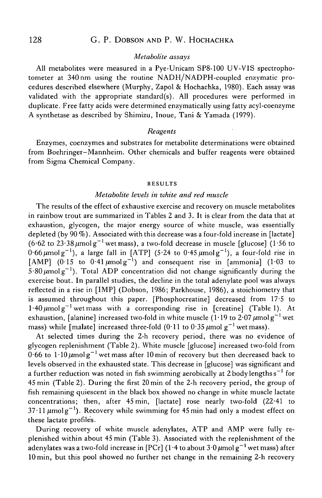## *Metabolite assays*

All metabolites were measured in a Pye-Unicam SP8-100 UV-VIS spectrophotometer at 340 nm using the routine NADH/NADPH-coupled enzymatic procedures described elsewhere (Murphy, Zapol & Hochachka, 1980). Each assay was validated with the appropriate standard(s). All procedures were performed in duplicate. Free fatty acids were determined enzymatically using fatty acyl-coenzyme A synthetase as described by Shimizu, Inoue, Tani & Yamada (1979).

### *Reagents*

Enzymes, coenzymes and substrates for metabolite determinations were obtained from Boehringer-Mannheim. Other chemicals and buffer reagents were obtained from Sigma Chemical Company.

#### RESULTS

## *Metabolite levels in white and red muscle*

The results of the effect of exhaustive exercise and recovery on muscle metabolites in rainbow trout are summarized in Tables 2 and 3. It is clear from the data that at exhaustion, glycogen, the major energy source of white muscle, was essentially depleted (by 90 %). Associated with this decrease was a four-fold increase in [lactate] (6.62 to 23.38  $\mu$ molg<sup>-1</sup> wet mass), a two-fold decrease in muscle [glucose] (1.56 to 0.66  $\mu$ molg<sup>-1</sup>), a large fall in [ATP] (5.24 to 0.45  $\mu$ molg<sup>-1</sup>), a four-fold rise in [AMP] (0.15 to 0.41  $\mu$ molg<sup>-1</sup>) and consequent rise in [ammonia] (1.03 to  $5.80 \mu$ molg<sup>-1</sup>). Total ADP concentration did not change significantly during the exercise bout. In parallel studies, the decline in the total adenylate pool was always reflected in a rise in [IMP] (Dobson, 1986; Parkhouse, 1986), a stoichiometry that is assumed throughout this paper. [Phosphocreatine] decreased from 17-5 to  $1.40 \mu$ molg<sup>-1</sup> wet mass with a corresponding rise in [creatine] (Table 1). At exhaustion, [alanine] increased two-fold in white muscle (1.19 to 2.07  $\mu$ molg<sup>-1</sup> wet mass) while [malate] increased three-fold (0.11 to 0.35  $\mu$ mol g<sup>-1</sup> wet mass).

At selected times during the 2-h recovery period, there was no evidence of glycogen replenishment (Table 2). White muscle [glucose] increased two-fold from  $0.66$  to  $1.10 \mu$ molg<sup>-1</sup> wet mass after 10 min of recovery but then decreased back to levels observed in the exhausted state. This decrease in [glucose] was significant and a further reduction was noted in fish swimming aerobically at  $2$  body lengths  $s^{-1}$  for 45 min (Table 2). During the first 20min of the 2-h recovery period, the group of fish remaining quiescent in the black box showed no change in white muscle lactate concentrations; then, after 45 min, [lactate] rose nearly two-fold (22-41 to  $37 \cdot 11 \mu$ molg<sup>-1</sup>). Recovery while swimming for 45 min had only a modest effect on these lactate profiles.

During recovery of white muscle adenylates, ATP and AMP were fully replenished within about 45 min (Table 3). Associated with the replenishment of the adenylates was a two-fold increase in [PCr] (1.4 to about  $3.0 \mu$ mol g<sup>-1</sup> wet mass) after 10 min, but this pool showed no further net change in the remaining 2-h recovery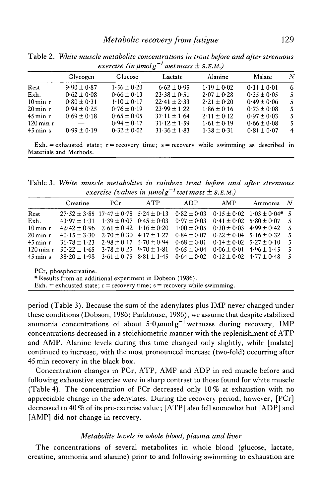|                        | Glycogen        | Glucose         | Lactate                                                                                 | Alanine         | Malate          | N   |
|------------------------|-----------------|-----------------|-----------------------------------------------------------------------------------------|-----------------|-----------------|-----|
| Rest                   | $9.90 \pm 0.87$ | $1.56 \pm 0.20$ | $6.62 \pm 0.95$                                                                         | $1.19 \pm 0.02$ | $0.11 \pm 0.01$ | -6  |
| Exh.                   | $0.62 \pm 0.08$ | $0.66 \pm 0.13$ | $23.38 \pm 0.51$                                                                        | $2.07 \pm 0.28$ | $0.35 \pm 0.05$ | -5. |
| $10 \,\mathrm{min}$ r  | $0.80 \pm 0.31$ | $1.10 \pm 0.17$ | $22.41 \pm 2.33$                                                                        | $2.21 \pm 0.20$ | $0.49 \pm 0.06$ | 5.  |
| $20 \,\mathrm{min}$ r  | $0.94 \pm 0.25$ | $0.76 \pm 0.19$ | $23.99 \pm 1.22$                                                                        | $1.86 \pm 0.16$ | $0.73 \pm 0.08$ | 5.  |
| $45$ min r             | $0.69 \pm 0.18$ | $0.65 \pm 0.05$ | $37.11 \pm 1.64$                                                                        | $2.11 \pm 0.12$ | $0.97 \pm 0.03$ | 5.  |
| $120 \,\mathrm{min}$ r |                 | $0.94 \pm 0.17$ | $31.12 \pm 1.59$                                                                        | $1.61 \pm 0.19$ | $0.66 \pm 0.08$ | 5.  |
| $45 \,\mathrm{min}$ s  | $0.99 \pm 0.19$ | $0.32 \pm 0.02$ | $31.36 \pm 1.83$                                                                        | $1.38 \pm 0.31$ | $0.81 \pm 0.07$ | 4   |
|                        |                 |                 | $Exh =$ exhausted state; r = recovery time; s = recovery while swimming as described in |                 |                 |     |

Table 2. *White muscle metabolite concentrations in trout before and after strenuous exercise (in \imolg~<sup>l</sup> wet mass* ± *S.E.M.)*

Materials and Methods.

Table 3. *White muscle metabolites in rainbow trout before and after strenuous exercise (values in µmolg<sup>* $-1$ *</sup> wet mass*  $\pm$  *S.E.M.)* 

|                                                                                                                                                                   | Creatine         | PCr                                               | <b>ATP</b>                      | <b>ADP</b>      | AMP | Ammonia                           | $\mathcal N$ |  |
|-------------------------------------------------------------------------------------------------------------------------------------------------------------------|------------------|---------------------------------------------------|---------------------------------|-----------------|-----|-----------------------------------|--------------|--|
| Rest                                                                                                                                                              |                  | $27.52 \pm 3.85$ 17.47 $\pm$ 0.78 5.24 $\pm$ 0.13 |                                 | $0.82 \pm 0.03$ |     | $0.15 \pm 0.02$ $1.03 \pm 0.04$ * | - 5          |  |
| Exh.                                                                                                                                                              | $43.97 \pm 1.31$ | $1.39 \pm 0.07$ 0.45 $\pm$ 0.03                   |                                 | $0.97 \pm 0.03$ |     | $0.41 \pm 0.02$ 5.80 $\pm$ 0.07   | -5           |  |
| $10 \,\mathrm{min}$ r                                                                                                                                             | $42.42 \pm 0.96$ |                                                   | $2.61 \pm 0.42$ 1.16 $\pm 0.20$ | $1.00 \pm 0.05$ |     | $0.30 \pm 0.03$ 4.99 $\pm 0.42$   | - 5          |  |
| $20 \,\mathrm{min}$ r                                                                                                                                             | $40.15 \pm 3.30$ | $2.70 \pm 0.30$ 4.17 $\pm$ 1.27                   |                                 | $0.84 \pm 0.07$ |     | $0.22 \pm 0.04$ 5.16 $\pm$ 0.32   | -5           |  |
| $45 \,\mathrm{min}$ r                                                                                                                                             | $36.78 \pm 1.23$ |                                                   | $2.98 \pm 0.17$ $5.70 \pm 0.94$ | $0.68 \pm 0.01$ |     | $0.14 \pm 0.02$ 5.27 $\pm$ 0.10   | -5           |  |
| $120 \,\mathrm{min}$ r                                                                                                                                            | $30.22 \pm 1.65$ | $3.78 \pm 0.25$ 9.70 $\pm$ 1.81                   |                                 | $0.65 \pm 0.04$ |     | $0.06 \pm 0.01$ 4.96 $\pm 1.45$   | -5           |  |
| $45 \,\mathrm{min}$ s                                                                                                                                             | $38.20 \pm 1.98$ |                                                   | $3.61 \pm 0.75$ $8.81 \pm 1.45$ | $0.64 \pm 0.02$ |     | $0.12 \pm 0.02$ 4.77 $\pm 0.48$   | -5           |  |
| PCr, phosphocreatine.<br>* Results from an additional experiment in Dobson (1986).<br>Exh. = exhausted state; $r =$ recovery time; $s =$ recovery while swimming. |                  |                                                   |                                 |                 |     |                                   |              |  |

period (Table 3). Because the sum of the adenylates plus IMP never changed under these conditions (Dobson, 1986; Parkhouse, 1986), we assume that despite stabilized ammonia concentrations of about  $5.0 \mu$ molg<sup>-1</sup> wet mass during recovery, IMP concentrations decreased in a stoichiometric manner with the replenishment of ATP and AMP. Alanine levels during this time changed only slightly, while [malate] continued to increase, with the most pronounced increase (two-fold) occurring after 45 min recovery in the black box.

Concentration changes in PCr, ATP, AMP and ADP in red muscle before and following exhaustive exercise were in sharp contrast to those found for white muscle (Table 4). The concentration of PCr decreased only  $10\%$  at exhaustion with no appreciable change in the adenylates. During the recovery period, however, [PCr] decreased to 40 % of its pre-exercise value; [ATP] also fell somewhat but [ADP] and [AMP] did not change in recovery.

## *Metabolite levels in whole blood, plasma and liver*

The concentrations of several metabolites in whole blood (glucose, lactate, creatine, ammonia and alanine) prior to and following swimming to exhaustion are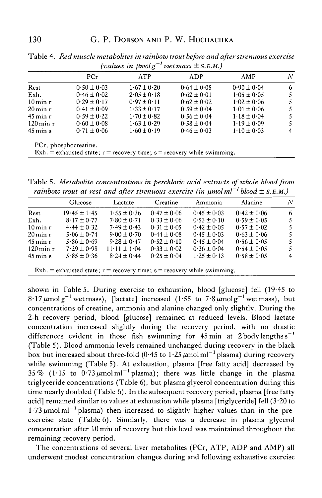|                        |                       | vannes in umoi g | well mass $\pm$ S.E.M.                                                       |                 |                  |
|------------------------|-----------------------|------------------|------------------------------------------------------------------------------|-----------------|------------------|
|                        | PCr                   | ATP              | ADP                                                                          | AMP             | $\boldsymbol{N}$ |
| Rest                   | $0.50 \pm 0.03$       | $1.67 \pm 0.20$  | $0.64 \pm 0.05$                                                              | $0.90 \pm 0.04$ | 6                |
| Exh.                   | $0.46 \pm 0.02$       | $2.05 \pm 0.18$  | $0.62 \pm 0.01$                                                              | $1.05 \pm 0.05$ | 5                |
| $10 \,\mathrm{min}$ r  | $0.29 \pm 0.17$       | $0.97 \pm 0.11$  | $0.62 \pm 0.02$                                                              | $1.02 \pm 0.06$ | 5                |
| $20 \,\mathrm{min}$ r  | $0.41 \pm 0.09$       | $1.33 \pm 0.17$  | $0.59 \pm 0.04$                                                              | $1.01 \pm 0.06$ | 5                |
| $45 \,\mathrm{min}$ r  | $0.59 \pm 0.22$       | $1.70 \pm 0.82$  | $0.56 \pm 0.04$                                                              | $1.18 \pm 0.04$ | 5                |
| $120 \,\mathrm{min}$ r | $0.60 \pm 0.08$       | $1.63 \pm 0.29$  | $0.58 \pm 0.04$                                                              | $1.19 \pm 0.09$ | 5                |
| $45 \,\mathrm{min}$ s  | $0.71 \pm 0.06$       | $1.60 \pm 0.19$  | $0.46 \pm 0.03$                                                              | $1.10 \pm 0.03$ | $\overline{4}$   |
|                        | PCr, phosphocreatine. |                  | $Exh =$ exhausted state; $r =$ recovery time; $s =$ recovery while swimming. |                 |                  |

Table 4. *Red muscle metabolites in rainbow trout before and after strenuous exercise*  $(a)$ graduas in *jumol*  $a^{-1}$  grat mass  $+ c E M$ 

Table 5. *Metabolite concentrations in perchloric acid extracts of whole blood from rainbow trout at rest and after strenuous exercise (in*  $\mu$ *molml<sup>-1</sup> blood*  $\pm$  s.E.M.)

|                        | Glucose          | Lactate                      | Creatine        | Ammonia         | Alanine         | N   |
|------------------------|------------------|------------------------------|-----------------|-----------------|-----------------|-----|
| Rest                   | $19.45 \pm 1.45$ | $1.55 \pm 0.36$              | $0.47 \pm 0.06$ | $0.45 \pm 0.03$ | $0.42 \pm 0.06$ | 6   |
| Exh.                   | $8.17 \pm 0.77$  | $7.80 \pm 0.71$              | $0.33 \pm 0.06$ | $0.53 \pm 0.10$ | $0.59 \pm 0.05$ | -5. |
| $10 \,\mathrm{min}$ r  | $4.44 \pm 0.32$  | $7.49 \pm 0.43$              | $0.31 \pm 0.05$ | $0.42 \pm 0.05$ | $0.57 \pm 0.02$ | -5. |
| $20 \,\mathrm{min}$ r  | $5.06 \pm 0.74$  | $9.00 \pm 0.70$              | $0.44 \pm 0.08$ | $0.45 \pm 0.03$ | $0.63 \pm 0.06$ | 5.  |
| $45 \,\mathrm{min}$ r  | $5.86 \pm 0.69$  | $9.28 + 0.47$                | $0.52 \pm 0.10$ | $0.45 \pm 0.04$ | $0.56 \pm 0.05$ | -5. |
| $120 \,\mathrm{min}$ r | $7.29 \pm 0.98$  | $11 \cdot 11 \pm 1 \cdot 04$ | $0.33 \pm 0.02$ | $0.36 \pm 0.04$ | $0.54 \pm 0.05$ | 5.  |
| $45 \,\mathrm{min}$ s  | $5.85 \pm 0.36$  | $8.24 + 0.44$                | $0.25 \pm 0.04$ | $1.25 + 0.13$   | $0.58 \pm 0.05$ | 4   |

Exh.= exhausted state; r = recovery time ; s = recovery while swimming.

shown in Table 5. During exercise to exhaustion, blood [glucose] fell (19-45 to 8·17  $\mu$ mol g<sup>-1</sup> wet mass), [lactate] increased (1·55 to 7·8  $\mu$ mol g<sup>-1</sup> wet mass), but concentrations of creatine, ammonia and alanine changed only slightly. During the 2-h recovery period, blood [glucose] remained at reduced levels. Blood lactate concentration increased slightly during the recovery period, with no drastic differences evident in those fish swimming for  $45$  min at 2 body lengths  $s^{-1}$ (Table 5). Blood ammonia levels remained unchanged during recovery in the black box but increased about three-fold (0.45 to 1.25  $\mu$ molml<sup>-1</sup> plasma) during recovery while swimming (Table 5). At exhaustion, plasma [free fatty acid] decreased by 35% (1.15 to  $0.73 \mu$ molml<sup>-1</sup> plasma); there was little change in the plasma triglyceride concentrations (Table 6), but plasma glycerol concentration during this time nearly doubled (Table 6). In the subsequent recovery period, plasma [free fatty acid] remained similar to values at exhaustion while plasma [triglyceride] fell (3-20 to  $1.73 \mu$ mol ml<sup>-1</sup> plasma) then increased to slightly higher values than in the preexercise state (Table 6). Similarly, there was a decrease in plasma glycerol concentration after 10 min of recovery but this level was maintained throughout the remaining recovery period.

The concentrations of several liver metabolites (PCr, ATP, ADP and AMP) all underwent modest concentration changes during and following exhaustive exercise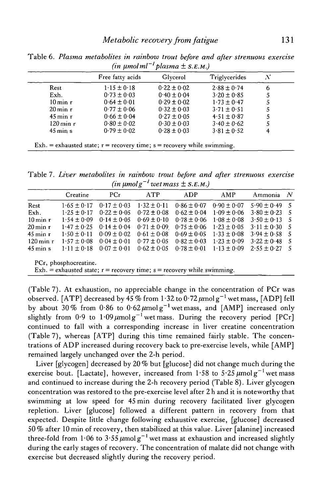| $1.15 \pm 0.18$<br>$0.73 \pm 0.03$<br>$0.64 \pm 0.01$ | $0.22 \pm 0.02$<br>$0.40 \pm 0.04$<br>$0.29 \pm 0.02$ | $2.88 \pm 0.74$<br>$3.20 \pm 0.85$ |  |
|-------------------------------------------------------|-------------------------------------------------------|------------------------------------|--|
|                                                       |                                                       |                                    |  |
|                                                       |                                                       |                                    |  |
|                                                       |                                                       | $1.73 \pm 0.47$                    |  |
| $0.77 \pm 0.06$                                       | $0.32 \pm 0.03$                                       | $3.71 \pm 0.51$                    |  |
|                                                       | $0.27 \pm 0.05$                                       | $4.51 \pm 0.87$                    |  |
|                                                       | $0.30 \pm 0.03$                                       | $3.40 \pm 0.62$                    |  |
|                                                       | $0.28 \pm 0.03$                                       | $3.81 \pm 0.52$                    |  |
|                                                       | $0.66 \pm 0.04$<br>$0.80 \pm 0.02$<br>$0.79 \pm 0.02$ |                                    |  |

Table 6. *Plasma metabolites in rainbow trout before and after strenuous exercise*  $(in \mu mol ml^{-1}$  plasma  $\pm$  S.E.M.)

Table 7. *Liver metabolites in rainbow trout before and after strenuous exercise*  $(in \mu mol g^{-1}$  wet mass  $\pm$  S.E.M.)

|                        | Creatine              | PCr             | ATP                                                                          | ADP             | AMP             | Ammonia         | - N |
|------------------------|-----------------------|-----------------|------------------------------------------------------------------------------|-----------------|-----------------|-----------------|-----|
| Rest                   | $1.65 \pm 0.17$       | $0.17 \pm 0.03$ | $1.32 \pm 0.11$                                                              | $0.86 \pm 0.07$ | $0.90 \pm 0.07$ | $5.90 \pm 0.49$ | -5  |
| Exh.                   | $1.25 \pm 0.17$       | $0.22 \pm 0.05$ | $0.72 \pm 0.08$                                                              | $0.62 \pm 0.04$ | $1.09 \pm 0.06$ | $3.80 \pm 0.23$ | -5  |
| $10 \,\mathrm{min}$ r  | $1.54 \pm 0.09$       | $0.14 \pm 0.05$ | $0.69 \pm 0.10$                                                              | $0.78 \pm 0.06$ | $1.08 \pm 0.08$ | $3.50 \pm 0.13$ | -5  |
| $20 \,\mathrm{min}$ r  | $1.47 \pm 0.25$       | $0.14 \pm 0.04$ | $0.71 \pm 0.09$                                                              | $0.75 \pm 0.06$ | $1.23 \pm 0.05$ | $3.11 \pm 0.30$ | -5  |
| $45 \,\mathrm{min}$ r  | $1.50 \pm 0.11$       | $0.09 \pm 0.02$ | $0.61 \pm 0.08$                                                              | $0.69 \pm 0.05$ | $1.33 \pm 0.08$ | $3.94 \pm 0.58$ | -5  |
| $120 \,\mathrm{min}$ r | $1.57 \pm 0.08$       | $0.04 \pm 0.01$ | $0.77 \pm 0.05$                                                              | $0.82 \pm 0.03$ | $1.23 \pm 0.09$ | $3.22 \pm 0.48$ | -5  |
| $45 \,\mathrm{min}$ s  | $1.11 \pm 0.18$       | $0.07 \pm 0.01$ | $0.62 \pm 0.05$                                                              | $0.78 \pm 0.01$ | $1.13 \pm 0.09$ | $2.55 \pm 0.27$ | -5  |
|                        | PCr, phosphocreatine. |                 |                                                                              |                 |                 |                 |     |
|                        |                       |                 | $Exh =$ exhausted state; $r =$ recovery time; $s =$ recovery while swimming. |                 |                 |                 |     |

(Table 7). At exhaustion, no appreciable change in the concentration of PCr was observed. [ATP] decreased by 45 % from 1·32 to 0·72  $\mu$ mol $\rm g^{-1}$  wet mass, [ADP] fell by about 30% from 0.86 to 0.62  $\mu$ molg<sup>-1</sup> wet mass, and [AMP] increased only slightly from  $0.9$  to  $1.09 \mu$ molg<sup>-1</sup> wetmass. During the recovery period [PCr] continued to fall with a corresponding increase in liver creatine concentration (Table 7), whereas [ATP] during this time remained fairly stable. The concentrations of ADP increased during recovery back to pre-exercise levels, while [AMP] remained largely unchanged over the 2-h period.

Liver [glycogen] decreased by 20 % but [glucose] did not change much during the exercise bout. [Lactate], however, increased from  $1.58$  to  $5.25 \mu m$ olg<sup>-1</sup> wet mass and continued to increase during the 2-h recovery period (Table 8). Liver glycogen concentration was restored to the pre-exercise level after 2 h and it is noteworthy that swimming at low speed for 45 min during recovery facilitated liver glycogen repletion. Liver [glucose] followed a different pattern in recovery from that expected. Despite little change following exhaustive exercise, [glucose] decreased 50% after 10 min of recovery, then stabilized at this value. Liver [alanine] increased three-fold from 1.06 to  $3.55 \mu$ molg<sup>-1</sup> wet mass at exhaustion and increased slightly during the early stages of recovery. The concentration of malate did not change with exercise but decreased slightly during the recovery period.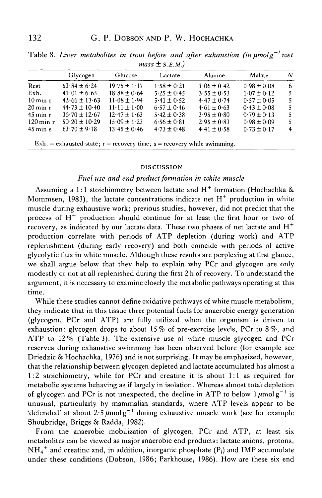|                        | Glycogen                                                                    | Glucose                      | Lactate         | Alanine         | Malate          | N |  |
|------------------------|-----------------------------------------------------------------------------|------------------------------|-----------------|-----------------|-----------------|---|--|
| Rest                   | $53.84 \pm 6.24$                                                            | $19.75 \pm 1.17$             | $1.58 \pm 0.21$ | $1.06 \pm 0.42$ | $0.98 \pm 0.08$ | 6 |  |
| Exh.                   | $41.01 \pm 6.65$                                                            | $18.88 \pm 0.64$             | $5.25 \pm 0.45$ | $3.55 \pm 0.53$ | $1.07 \pm 0.12$ | 5 |  |
| $10 \,\mathrm{min}$ r  | $42.66 \pm 13.63$                                                           | $11.08 \pm 1.94$             | $5.41 \pm 0.52$ | $4.47 \pm 0.74$ | $0.57 \pm 0.05$ | 5 |  |
| $20 \,\mathrm{min}$ r  | $44.73 \pm 10.40$                                                           | $11 \cdot 11 \pm 1 \cdot 00$ | $6.57 \pm 0.46$ | $4.61 \pm 0.63$ | $0.43 \pm 0.08$ | 5 |  |
| $45$ min r             | $36.70 \pm 12.67$                                                           | $12.47 \pm 1.63$             | $5.42 \pm 0.38$ | $3.95 \pm 0.80$ | $0.79 \pm 0.13$ | 5 |  |
| $120 \,\mathrm{min}$ r | $50.20 \pm 10.29$                                                           | $15.09 \pm 1.23$             | $6.56 \pm 0.81$ | $2.95 \pm 0.83$ | $0.98 \pm 0.09$ | 5 |  |
| $45 \text{ min}$ s     | $63.70 \pm 9.18$                                                            | $13.45 \pm 0.46$             | $4.73 \pm 0.48$ | $4.41 \pm 0.58$ | $0.73 \pm 0.17$ | 4 |  |
|                        | Exh. = exhausted state; $r =$ recovery time; $s =$ recovery while swimming. |                              |                 |                 |                 |   |  |

Table 8. Liver metabolites in trout before and after exhaustion (in  $\mu$ molg<sup>-1</sup> wet  $m$ ass<sup> $+$ </sup> S.E.M.)

#### DISCUSSION

## *Fuel use and end product formation in white muscle*

Assuming a 1:1 stoichiometry between lactate and  $H^+$  formation (Hochachka & Mommsen, 1983), the lactate concentrations indicate net  $H^+$  production in white muscle during exhaustive work; previous studies, however, did not predict that the process of  $H^+$  production should continue for at least the first hour or two of recovery, as indicated by our lactate data. These two phases of net lactate and  $H^+$ production correlate with periods of ATP depletion (during work) and ATP replenishment (during early recovery) and both coincide with periods of active glycolytic flux in white muscle. Although these results are perplexing at first glance, we shall argue below that they help to explain why PCr and glycogen are only modestly or not at all replenished during the first 2h of recovery. To understand the argument, it is necessary to examine closely the metabolic pathways operating at this time.

While these studies cannot define oxidative pathways of white muscle metabolism, they indicate that in this tissue three potential fuels for anaerobic energy generation (glycogen, PCr and ATP) are fully utilized when the organism is driven to exhaustion: glycogen drops to about 15% of pre-exercise levels, PCr to 8%, and ATP to 12% (Table 3). The extensive use of white muscle glycogen and PCr reserves during exhaustive swimming has been observed before (for example see Driedzic & Hochachka, 1976) and is not surprising. It may be emphasized, however, that the relationship between glycogen depleted and lactate accumulated has almost a 1:2 stoichiometry, while for PCr and creatine it is about 1:1 as required for metabolic systems behaving as if largely in isolation. Whereas almost total depletion of glycogen and PCr is not unexpected, the decline in ATP to below  $1 \mu \text{mol g}^{-1}$  is unusual, particularly by mammalian standards, where ATP levels appear to be 'defended' at about  $2.5 \mu$ molg<sup>-1</sup> during exhaustive muscle work (see for example Shoubridge, Briggs & Radda, 1982).

From the anaerobic mobilization of glycogen, PCr and ATP, at least six metabolites can be viewed as major anaerobic end products: lactate anions, protons,  $NH_4^+$  and creatine and, in addition, inorganic phosphate (P<sub>i</sub>) and IMP accumulate under these conditions (Dobson, 1986; Parkhouse, 1986). How are these six end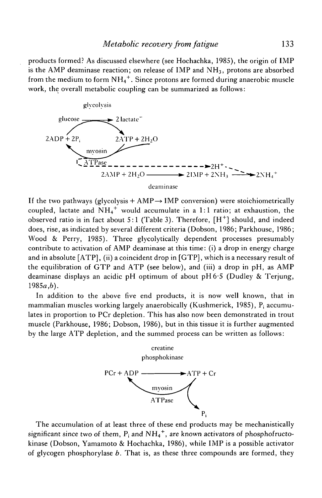## *Metabolic recovery from fatigue* 133

products formed? As discussed elsewhere (see Hochachka, 1985), the origin of IMP is the AMP deaminase reaction; on release of IMP and  $NH<sub>3</sub>$ , protons are absorbed from the medium to form  $\mathrm{NH}_4^+ .$  Since protons are formed during anaerobic muscle work, the overall metabolic coupling can be summarized as follows:



If the two pathways (glycolysis  $+$  AMP $\rightarrow$  IMP conversion) were stoichiometrically coupled, lactate and  $NH_4^+$  would accumulate in a 1:1 ratio; at exhaustion, the observed ratio is in fact about 5:1 (Table 3). Therefore,  $[H^+]$  should, and indeed does, rise, as indicated by several different criteria (Dobson, 1986; Parkhouse, 1986; Wood & Perry, 1985). Three glycolytically dependent processes presumably contribute to activation of AMP deaminase at this time: (i) a drop in energy charge and in absolute [ATP], (ii) a coincident drop in [GTP], which is a necessary result of the equilibration of GTP and ATP (see below), and (iii) a drop in pH, as AMP deaminase displays an acidic pH optimum of about pH6-5 (Dudley & Terjung,  $1985a,b$ ).

In addition to the above five end products, it is now well known, that in mammalian muscles working largely anaerobically (Kushmerick, 1985), P; accumulates in proportion to PCr depletion. This has also now been demonstrated in trout muscle (Parkhouse, 1986; Dobson, 1986), but in this tissue it is further augmented by the large ATP depletion, and the summed process can be written as follows:



The accumulation of at least three of these end products may be mechanistically significant since two of them,  $P_i$  and  $NH_4^+$ , are known activators of phosphofructokinase (Dobson, Yamamoto & Hochachka, 1986), while IMP is a possible activator of glycogen phosphorylase *b.* That is, as these three compounds are formed, they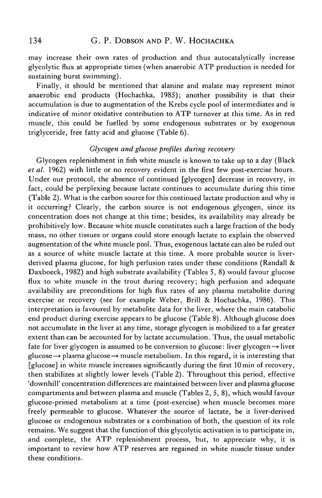may increase their own rates of production and thus autocatalytically increase glycolytic flux at appropriate times (when anaerobic ATP production is needed for sustaining burst swimming).

Finally, it should be mentioned that alanine and malate may represent minor anaerobic end products (Hochachka, 1985); another possibility is that their accumulation is due to augmentation of the Krebs cycle pool of intermediates and is indicative of minor oxidative contribution to ATP turnover at this time. As in red muscle, this could be fuelled by some endogenous substrates or by exogenous triglyceride, free fatty acid and glucose (Table 6).

## *Glycogen and glucose profiles during recovery*

Glycogen replenishment in fish white muscle is known to take up to a day (Black *et al.* 1962) with little or no recovery evident in the first few post-exercise hours. Under our protocol, the absence of continued [glycogen] decrease in recovery, in fact, could be perplexing because lactate continues to accumulate during this time (Table 2). What is the carbon source for this continued lactate production and why is it occurring? Clearly, the carbon source is not endogenous glycogen, since its concentration does not change at this time; besides, its availability may already be prohibitively low. Because white muscle constitutes such a large fraction of the body mass, no other tissues or organs could store enough lactate to explain the observed augmentation of the white muscle pool. Thus, exogenous lactate can also be ruled out as a source of white muscle lactate at this time. A more probable source is liverderived plasma glucose, for high perfusion rates under these conditions (Randall & Daxboeck, 1982) and high substrate availability (Tables 5, 8) would favour glucose flux to white muscle in the trout during recovery; high perfusion and adequate availability are preconditions for high flux rates of any plasma metabolite during exercise or recovery (see for example Weber, Brill & Hochachka, 1986). This interpretation is favoured by metabolite data for the liver, where the main catabolic end product during exercise appears to be glucose (Table 8). Although glucose does not accumulate in the liver at any time, storage glycogen is mobilized to a far greater extent than can be accounted for by lactate accumulation. Thus, the usual metabolic fate for liver glycogen is assumed to be conversion to glucose: liver glycogen $\rightarrow$  liver glucose  $\rightarrow$  plasma glucose  $\rightarrow$  muscle metabolism. In this regard, it is interesting that [glucose] in white muscle increases significantly during the first lOmin of recovery, then stabilizes at slightly lower levels (Table 2). Throughout this period, effective 'downhill' concentration differences are maintained between liver and plasma glucose compartments and between plasma and muscle (Tables 2, 5, 8), which would favour glucose-primed metabolism at a time (post-exercise) when muscle becomes more freely permeable to glucose. Whatever the source of lactate, be it liver-derived glucose or endogenous substrates or a combination of both, the question of its role remains. We suggest that the function of this glycolytic activation is to participate in, and complete, the ATP replenishment process, but, to appreciate why, it is important to review how ATP reserves are regained in white muscle tissue under these conditions.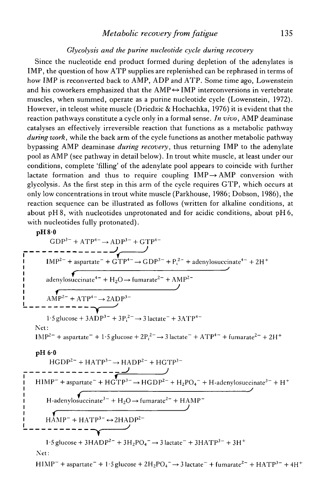# *Metabolic recovery from fatigue* 135

## *Glycolysis and the purine nucleotide cycle during recovery*

Since the nucleotide end product formed during depletion of the adenylates is IMP, the question of how ATP supplies are replenished can be rephrased in terms of how IMP is reconverted back to AMP, ADP and ATP. Some time ago, Lowenstein and his coworkers emphasized that the  $AMP \leftrightarrow IMP$  interconversions in vertebrate muscles, when summed, operate as a purine nucleotide cycle (Lowenstein, 1972). However, in teleost white muscle (Driedzic & Hochachka, 1976) it is evident that the reaction pathways constitute a cycle only in a formal sense. *In vivo,* AMP deaminase catalyses an effectively irreversible reaction that functions as a metabolic pathway *during work,* while the back arm of the cycle functions as another metabolic pathway bypassing AMP deaminase *during recovery,* thus returning IMP to the adenylate pool as AMP (see pathway in detail below). In trout white muscle, at least under our conditions, complete 'filling' of the adenylate pool appears to coincide with further lactate formation and thus to require coupling  $IMP \rightarrow AMP$  conversion with glycolysis. As the first step in this arm of the cycle requires GTP, which occurs at only low concentrations in trout white muscle (Parkhouse, 1986; Dobson, 1986), the reaction sequence can be illustrated as follows (written for alkaline conditions, at about pH8, with nucleotides unprotonated and for acidic conditions, about pH6, with nucleotides fully protonated).

**pH80**

GDP<sup>3</sup> " + ATP<sup>4</sup> " -> ADP<sup>3</sup> " + GTP<sup>4</sup> " IMP<sup>2</sup> " + aspartate" + GTP<sup>4</sup> "-> GDP<sup>3</sup> " + P;<sup>2</sup> " + adenylosuccinate<sup>4</sup> " + 2HH adenylosuccinate<sup>4</sup> " + H2O—*\** fumarate<sup>2</sup> " + AMP<sup>2</sup> " *J* AMP<sup>2</sup> " + ATP<sup>4</sup> " 1-5 glucose + 3ADP<sup>3</sup> " + 3P|<sup>2</sup> "-> 3 lactate" + 3ATP<sup>4</sup> " Net: IMP<sup>2</sup> " + aspartate" + 1-5 glucose + 2Pj2 ~ ^ 3 lactate" + ATP<sup>4</sup> " + fumarate<sup>2</sup> " + 2H + **pH60** HGDP<sup>2</sup> " + HATP<sup>3</sup> "-^ HADP<sup>2</sup> " + HGTP<sup>3</sup> " ^ *J* MP- + aspartate" + HGTP <sup>3</sup> " ^ HGDP<sup>2</sup> " + H2PO4" + H-adenylosuccinate<sup>3</sup> " + H **/** H-adenylosuccinate3 ~ + H2O—> fumarate<sup>2</sup> " + HAMP" *J* RAMP" + HATP<sup>3</sup> ~^2HADP<sup>2</sup> ~ **» '** 1-5 glucose + 3HADP<sup>2</sup> " + 3H2PO4 "^ 3 lactate" + 3HATP<sup>3</sup> " + 3H +

Net:

 $\text{HIMP}^-$  + aspartate<sup>-</sup> + 1·5 glucose + 2H<sub>2</sub>PO<sub>4</sub><sup>-</sup> → 3 lactate<sup>-</sup> + fumarate<sup>2~</sup> + HATP<sup>3-</sup> + 4H<sup>+</sup>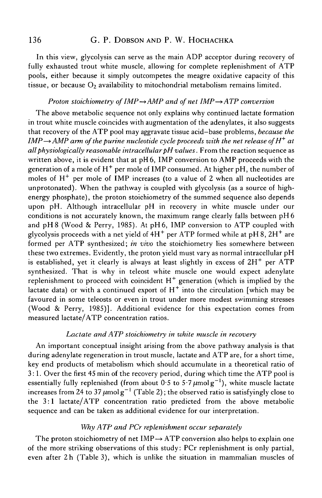## 136 G. P. DOBSON AND P. W. HOCHACHKA

In this view, glycolysis can serve as the main ADP acceptor during recovery of fully exhausted trout white muscle, allowing for complete replenishment of ATP pools, either because it simply outcompetes the meagre oxidative capacity of this tissue, or because  $O_2$  availability to mitochondrial metabolism remains limited.

## *Proton stoichiometry of IMP* $\rightarrow$  *AMP and of net IMP* $\rightarrow$  *ATP conversion*

The above metabolic sequence not only explains why continued lactate formation in trout white muscle coincides with augmentation of the adenylates, it also suggests that recovery of the ATP pool may aggravate tissue acid—base problems, *because the IMP*  $\rightarrow$  *AMP arm of the purine nucleotide cycle proceeds with the net release of H<sup>+</sup> at all physiologically reasonable intracellular pH values.* From the reaction sequence as written above, it is evident that at pH 6, IMP conversion to AMP proceeds with the generation of a mole of  $\rm H^+$  per mole of IMP consumed. At higher pH, the number of moles of  $H^+$  per mole of IMP increases (to a value of 2 when all nucleotides are unprotonated). When the pathway is coupled with glycolysis (as a source of highenergy phosphate), the proton stoichiometry of the summed sequence also depends upon pH. Although intracellular pH in recovery in white muscle under our conditions is not accurately known, the maximum range clearly falls between pH 6 and pH8 (Wood & Perry, 1985). At pH6, IMP conversion to ATP coupled with glycolysis proceeds with a net yield of  $4H<sup>+</sup>$  per ATP formed while at pH 8, 2H<sup>+</sup> are formed per ATP synthesized; *in vivo* the stoichiometry lies somewhere between these two extremes. Evidently, the proton yield must vary as normal intracellular pH is established, yet it clearly is always at least slightly in excess of  $2H^+$  per ATP synthesized. That is why in teleost white muscle one would expect adenylate replenishment to proceed with coincident  $H^+$  generation (which is implied by the lactate data) or with a continued export of  $H^+$  into the circulation [which may be favoured in some teleosts or even in trout under more modest swimming stresses (Wood & Perry, 1985)]. Additional evidence for this expectation comes from measured lactate/ATP concentration ratios.

## *Lactate and ATP stoichiometry in white muscle in recovery*

An important conceptual insight arising from the above pathway analysis is that during adenylate regeneration in trout muscle, lactate and ATP are, for a short time, key end products of metabolism which should accumulate in a theoretical ratio of 3:1. Over the first 45 min of the recovery period, during which time the ATP pool is essentially fully replenished (from about 0.5 to 5.7  $\mu$ molg $^{-1}$ ), white muscle lactate increases from 24 to 37  $\mu$ molg<sup>-1</sup> (Table 2); the observed ratio is satisfyingly close to the 3:1 lactate/ATP concentration ratio predicted from the above metabolic sequence and can be taken as additional evidence for our interpretation.

## *Why ATP and PCr replenishment occur separately*

The proton stoichiometry of net  $IMP \rightarrow ATP$  conversion also helps to explain one of the more striking observations of this study: PCr replenishment is only partial, even after 2h (Table 3), which is unlike the situation in mammalian muscles of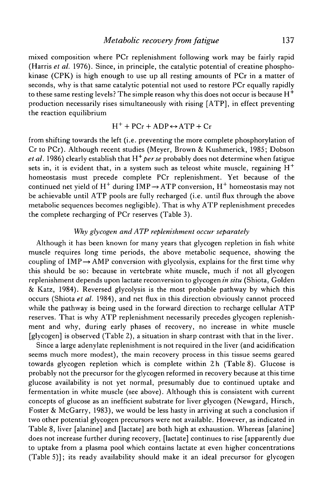mixed composition where PCr replenishment following work may be fairly rapid (Harris *et al.* 1976). Since, in principle, the catalytic potential of creatine phosphokinase (CPK) is high enough to use up all resting amounts of PCr in a matter of seconds, why is that same catalytic potential not used to restore PCr equally rapidly to these same resting levels? The simple reason why this does not occur is because  $H^+$ production necessarily rises simultaneously with rising [ATP], in effect preventing the reaction equilibrium

$$
H^{+} + PCr + ADP \leftrightarrow ATP + Cr
$$

from shifting towards the left (i.e. preventing the more complete phosphorylation of Cr to PCr). Although recent studies (Meyer, Brown & Kushmerick, 1985; Dobson *et al.* 1986) clearly establish that *H<sup>+</sup> perse* probably does not determine when fatigue sets in, it is evident that, in a system such as teleost white muscle, regaining  $H^+$ homeostasis must precede complete PCr replenishment. Yet because of the continued net yield of  $\mathrm{H}^+$  during  $\mathrm{IMP} \rightarrow \mathrm{ATP}$  conversion,  $\mathrm{H}^+$  homeostasis may not be achievable until ATP pools are fully recharged (i.e. until flux through the above metabolic sequences becomes negligible). That is why ATP replenishment precedes the complete recharging of PCr reserves (Table 3).

## *Why glycogen and ATP replenishment occur separately*

Although it has been known for many years that glycogen repletion in fish white muscle requires long time periods, the above metabolic sequence, showing the coupling of  $IMP \rightarrow AMP$  conversion with glycolysis, explains for the first time why this should be so: because in vertebrate white muscle, much if not all glycogen replenishment depends upon lactate reconversion to glycogen *in situ* (Shiota, Golden & Katz, 1984). Reversed glycolysis is the most probable pathway by which this occurs (Shiota *et al.* 1984), and net flux in this direction obviously cannot proceed while the pathway is being used in the forward direction to recharge cellular ATP reserves. That is why ATP replenishment necessarily precedes glycogen replenishment and why, during early phases of recovery, no increase in white muscle [glycogen] is observed (Table 2), a situation in sharp contrast with that in the liver.

Since a large adenylate replenishment is not required in the liver (and acidification seems much more modest), the main recovery process in this tissue seems geared towards glycogen repletion which is complete within 2h (Table 8). Glucose is probably not the precursor for the glycogen reformed in recovery because at this time glucose availability is not yet normal, presumably due to continued uptake and fermentation in white muscle (see above). Although this is consistent with current concepts of glucose as an inefficient substrate for liver glycogen (Newgard, Hirsch, Foster & McGarry, 1983), we would be less hasty in arriving at such a conclusion if two other potential glycogen precursors were not available. However, as indicated in Table 8, liver [alanine] and [lactate] are both high at exhaustion. Whereas [alanine] does not increase further during recovery, [lactate] continues to rise [apparently due to uptake from a plasma pool which contains lactate at even higher concentrations (Table 5)]; its ready availability should make it an ideal precursor for glycogen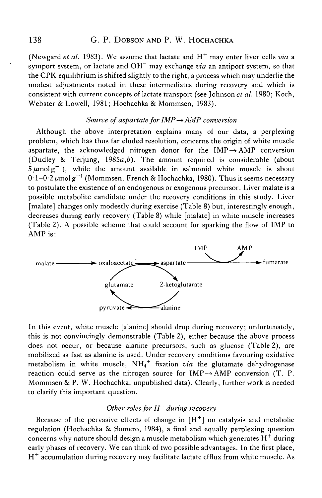(Newgard *et al.* 1983). We assume that lactate and H<sup>+</sup> may enter liver cells *via* a symport system, or lactate and OH<sup>-</sup> may exchange *via* an antiport system, so that the CPK equilibrium is shifted slightly to the right, a process which may underlie the modest adjustments noted in these intermediates during recovery and which is consistent with current concepts of lactate transport (see Johnson *et al.* 1980; Koch, Webster & Lowell, 1981; Hochachka & Mommsen, 1983).

#### *Source of aspartate for IMP* —» *AMP conversion*

Although the above interpretation explains many of our data, a perplexing problem, which has thus far eluded resolution, concerns the origin of white muscle aspartate, the acknowledged nitrogen donor for the  $IMP \rightarrow AMP$  conversion (Dudley & Terjung, 1985a,*b).* The amount required is considerable (about  $5 \mu$ molg<sup>-1</sup>), while the amount available in salmonid white muscle is about 0·1–0·2  $\mu$ mol g $^{-1}$  (Mommsen, French & Hochachka, 1980). Thus it seems necessary to postulate the existence of an endogenous or exogenous precursor. Liver malate is a possible metabolite candidate under the recovery conditions in this study. Liver [malate] changes only modestly during exercise (Table 8) but, interestingly enough, decreases during early recovery (Table 8) while [malate] in white muscle increases (Table 2). A possible scheme that could account for sparking the flow of IMP to AMP is:



In this event, white muscle [alanine] should drop during recovery; unfortunately, this is not convincingly demonstrable (Table 2), either because the above process does not occur, or because alanine precursors, such as glucose (Table 2), are mobilized as fast as alanine is used. Under recovery conditions favouring oxidative metabolism in white muscle, NH4 + fixation *via* the glutamate dehydrogenase reaction could serve as the nitrogen source for  $IMP \rightarrow AMP$  conversion (T. P. Mommsen & P. W. Hochachka, unpublished data). Clearly, further work is needed to clarify this important question.

# *Other roles for H<sup>+</sup> during recovery*

Because of the pervasive effects of change in  $[H^+]$  on catalysis and metabolic regulation (Hochachka & Somero, 1984), a final and equally perplexing question concerns why nature should design a muscle metabolism which generates  $\mathrm{H}^+$  during early phases of recovery. We can think of two possible advantages. In the first place, H<sup>+</sup> accumulation during recovery may facilitate lactate efflux from white muscle. As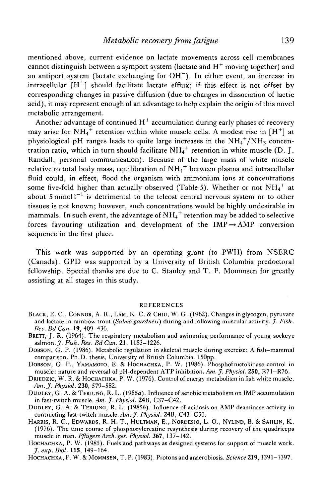mentioned above, current evidence on lactate movements across cell membranes cannot distinguish between a symport system (lactate and  $\rm{H}^{+}$  moving together) and an antiport system (lactate exchanging for OH~). In either event, an increase in intracellular  $[H^+]$  should facilitate lactate efflux; if this effect is not offset by corresponding changes in passive diffusion (due to changes in dissociation of lactic acid), it may represent enough of an advantage to help explain the origin of this novel metabolic arrangement.

Another advantage of continued  $\boldsymbol{\mathrm{H}}^+$  accumulation during early phases of recovery may arise for NH<sub>4</sub><sup>+</sup> retention within white muscle cells. A modest rise in [H<sup>+</sup>] at physiological pH ranges leads to quite large increases in the  $\mathrm{NH_4}^+ \mathrm{/NH_3}$  concentration ratio, which in turn should facilitate  $\mathrm{NH_4}^+$  retention in white muscle (D. J. Randall, personal communication). Because of the large mass of white muscle relative to total body mass, equilibration of  $\mathrm{NH_4}^+$  between plasma and intracellular fluid could, in effect, flood the organism with ammonium ions at concentrations some five-fold higher than actually observed (Table 5). Whether or not  $NH_4^+$  at about 5 mmol  $I^{-1}$  is detrimental to the teleost central nervous system or to other tissues is not known; however, such concentrations would be highly undesirable in mammals. In such event, the advantage of  $\mathrm{NH_4}^+$  retention may be added to selective forces favouring utilization and development of the  $IMP \rightarrow AMP$  conversion sequence in the first place.

This work was supported by an operating grant (to PWH) from NSERC (Canada). GPD was supported by a University of British Columbia predoctoral fellowship. Special thanks are due to C. Stanley and T. P. Mommsen for greatly assisting at all stages in this study.

#### REFERENCES

- BLACK, E. C., CONNOR, A. R., LAM, K. C. & CHIU, W. G. (1962). Changes in glycogen, pyruvate and lactate in rainbow trout *(Sahno gairdneri)* during and following muscular activity. *J. Fish. Res. Bd Can.* **19,** 409-436.
- BRETT, J. R. (1964). The respiratory metabolism and swimming performance of young sockeye salmon. J. *Fish. Res. Bd Can.* **21,** 1183-1226.
- DOBSON, G. P. (1986). Metabolic regulation in skeletal muscle during exercise: A fish-mammal comparison. Ph.D. thesis, University of British Columbia. 150pp.
- DOBSON, G. P., YAMAMOTO, E. & HOCHACHKA, P. W. (1986). Phosphofructokinase control in muscle: nature and reversal of pH-dependent ATP inhibition. *Am.J. Physiol.* **250,** R71-R76.
- DRIEDZIC, W. R. & HOCHACHKA, P. W. (1976). Control of energy metabolism in fish white muscle. *Am.J. Physiol.* **230,** 579-582.
- DUDLEY, G. A. & TERJUNG, R. L. (1985a). Influence of aerobic metabolism on IMP accumulation in fast-twitch muscle. Aw. J. *Physiol.* **24B,** C37-C42.
- DUDLEY, G. A. & TERJUNG, R. L. (19856). Influence of acidosis on AMP deaminase activity in contracting fast-twitch muscle. *Am.J. Physiol.* **24B,** C43-C50.
- HARRIS, R. C , EDWARDS, R. H. T., HULTMAN, E., NORDESJO, L. O., NYLIND, B. & SAHLIN, K. (1976). The time course of phosphorylcreatine resynthesis during recovery of the quadriceps muscle in man. *Pfliigers Arch. ges. Physiol.* **367,** 137-142.
- HOCHACHKA, P. W. (1985). Fuels and pathways as designed systems for support of muscle work. *J. exp. Biol.* **115,** 149-164.
- HOCHACHKA, P.W. & MOMMSEN, T.P. (1983). Protons and anaerobiosis. Science 219, 1391-1397.